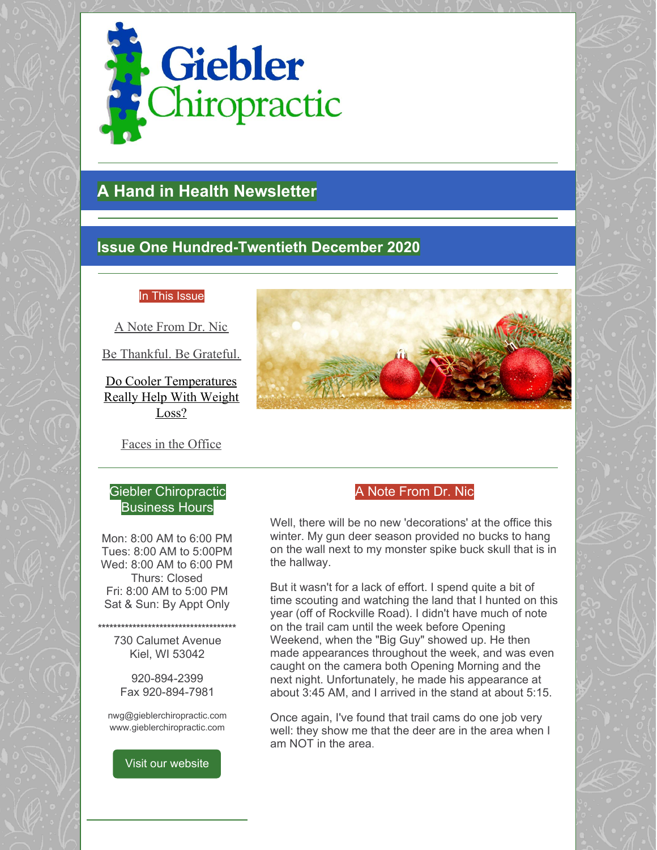

# **A Hand in Health Newsletter**

## **Issue One Hundred-Twentieth December 2020**

### In This Issue

A Note From Dr. Nic

Be Thankful. Be Grateful.

Do Cooler Temperatures Really Help With Weight Loss?

Faces in the Office

## Giebler Chiropractic Business Hours

Mon: 8:00 AM to 6:00 PM Tues: 8:00 AM to 5:00PM Wed: 8:00 AM to 6:00 PM Thurs: Closed Fri: 8:00 AM to 5:00 PM Sat & Sun: By Appt Only

**\*\*\*\*\*\*\*\*\*\*\*\*\*\*\*\*\*\*\*\*\*\*\*\*\*\*\*\*\*\*\*\*\*\*\*\*** 730 Calumet Avenue Kiel, WI 53042

> 920-894-2399 Fax 920-894-7981

nwg@gieblerchiropractic.com www.gieblerchiropractic.com

Visit our [website](http://www.gieblerchiropractic.com)



## A Note From Dr. Nic

Well, there will be no new 'decorations' at the office this winter. My gun deer season provided no bucks to hang on the wall next to my monster spike buck skull that is in the hallway.

But it wasn't for a lack of effort. I spend quite a bit of time scouting and watching the land that I hunted on this year (off of Rockville Road). I didn't have much of note on the trail cam until the week before Opening Weekend, when the "Big Guy" showed up. He then made appearances throughout the week, and was even caught on the camera both Opening Morning and the next night. Unfortunately, he made his appearance at about 3:45 AM, and I arrived in the stand at about 5:15.

Once again, I've found that trail cams do one job very well: they show me that the deer are in the area when I am NOT in the area.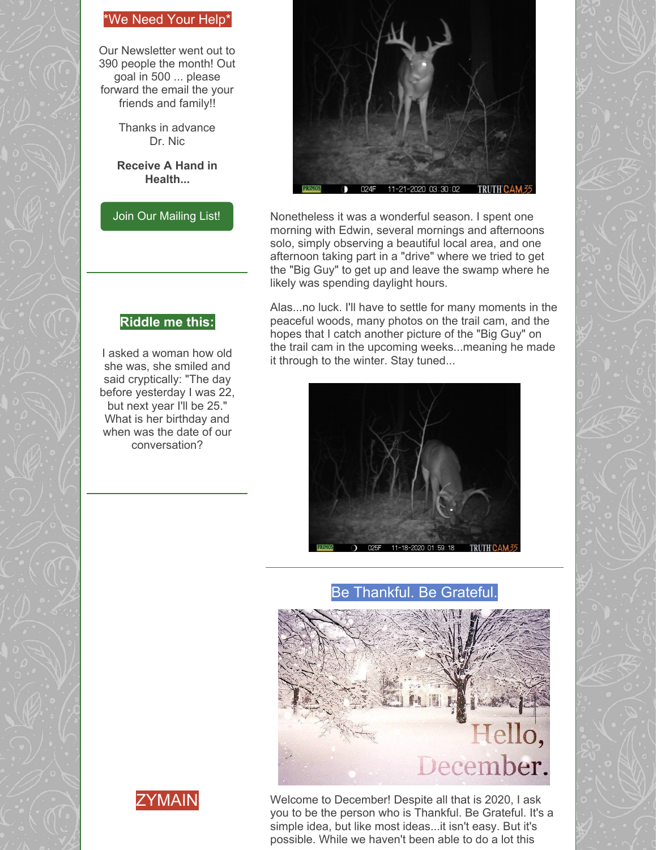## \*We Need Your Help\*

Our Newsletter went out to 390 people the month! Out goal in 500 ... please forward the email the your friends and family!!

> Thanks in advance Dr. Nic

**Receive A Hand in Health...**

Join Our [Mailing](http://www.gieblerchiropractic.com/newsletter/) List!

**Riddle me this:**

I asked a woman how old she was, she smiled and said cryptically: "The day before yesterday I was 22, but next year I'll be 25." What is her birthday and when was the date of our conversation?



Nonetheless it was a wonderful season. I spent one morning with Edwin, several mornings and afternoons solo, simply observing a beautiful local area, and one afternoon taking part in a "drive" where we tried to get the "Big Guy" to get up and leave the swamp where he likely was spending daylight hours.

Alas...no luck. I'll have to settle for many moments in the peaceful woods, many photos on the trail cam, and the hopes that I catch another picture of the "Big Guy" on the trail cam in the upcoming weeks...meaning he made it through to the winter. Stay tuned...



Be Thankful. Be Grateful.





Welcome to December! Despite all that is 2020, I ask you to be the person who is Thankful. Be Grateful. It's a simple idea, but like most ideas...it isn't easy. But it's possible. While we haven't been able to do a lot this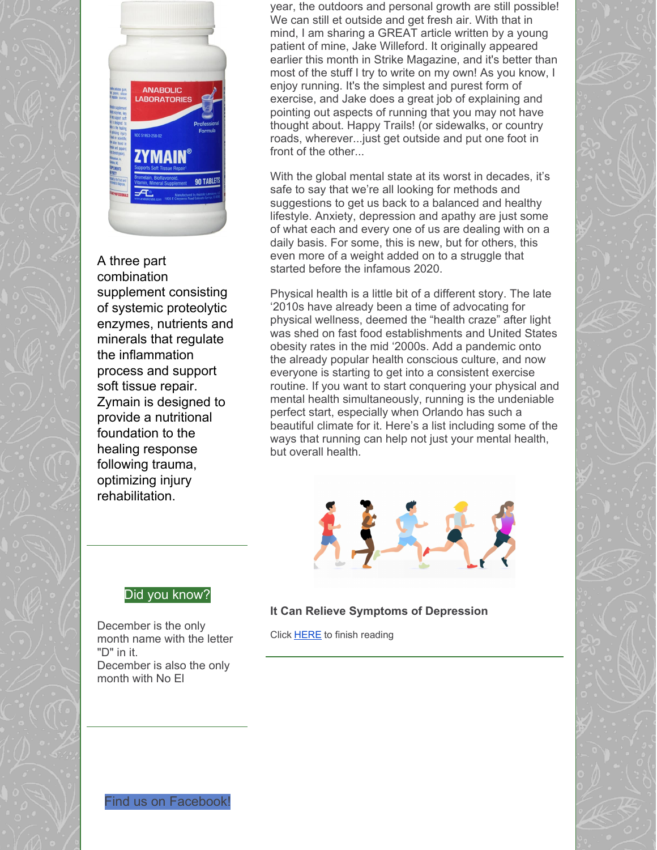

## A three part

combination supplement consisting of systemic proteolytic enzymes, nutrients and minerals that regulate the inflammation process and support soft tissue repair. Zymain is designed to provide a nutritional foundation to the healing response following trauma, optimizing injury rehabilitation.

year, the outdoors and personal growth are still possible! We can still et outside and get fresh air. With that in mind, I am sharing a GREAT article written by a young patient of mine, Jake Willeford. It originally appeared earlier this month in Strike Magazine, and it's better than most of the stuff I try to write on my own! As you know, I enjoy running. It's the simplest and purest form of exercise, and Jake does a great job of explaining and pointing out aspects of running that you may not have thought about. Happy Trails! (or sidewalks, or country roads, wherever...just get outside and put one foot in front of the other...

With the global mental state at its worst in decades, it's safe to say that we're all looking for methods and suggestions to get us back to a balanced and healthy lifestyle. Anxiety, depression and apathy are just some of what each and every one of us are dealing with on a daily basis. For some, this is new, but for others, this even more of a weight added on to a struggle that started before the infamous 2020.

Physical health is a little bit of a different story. The late '2010s have already been a time of advocating for physical wellness, deemed the "health craze" after light was shed on fast food establishments and United States obesity rates in the mid '2000s. Add a pandemic onto the already popular health conscious culture, and now everyone is starting to get into a consistent exercise routine. If you want to start conquering your physical and mental health simultaneously, running is the undeniable perfect start, especially when Orlando has such a beautiful climate for it. Here's a list including some of the ways that running can help not just your mental health, but overall health.



## Did you know?

December is the only month name with the letter "D" in it. December is also the only month with No El

### **It Can Relieve Symptoms of Depression**

Click [HERE](https://gieblerchiropractic.blogspot.com/2020/12/be-thankful-be-grateful.html) to finish reading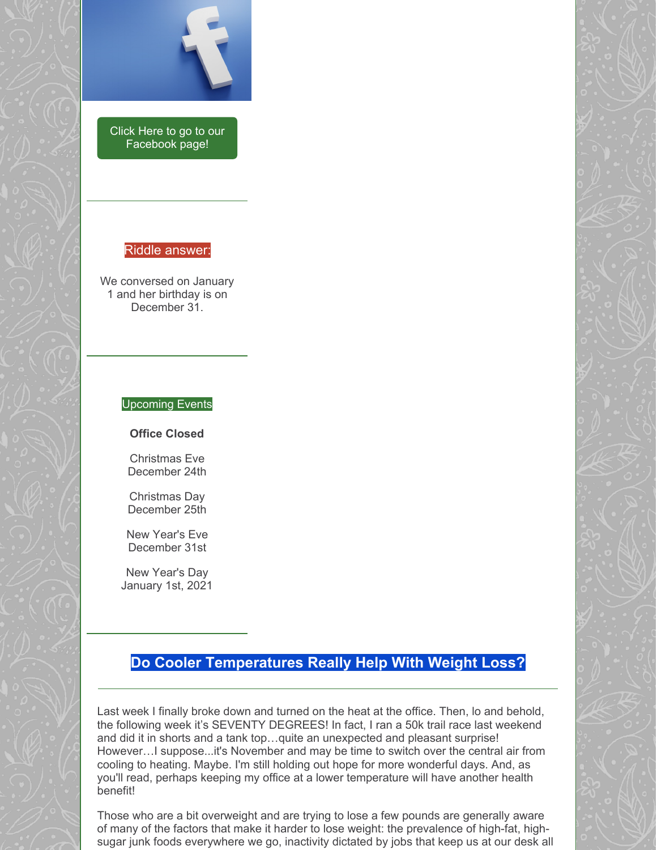

Click Here to go to our [Facebook](https://www.facebook.com/gieblerchiro/) page!

#### Riddle answer:

We conversed on January 1 and her birthday is on December 31.

#### Upcoming Events

**Office Closed**

Christmas Eve December 24th

Christmas Day December 25th

New Year's Eve December 31st

New Year's Day January 1st, 2021

## **Do Cooler Temperatures Really Help With Weight Loss?**

Last week I finally broke down and turned on the heat at the office. Then, lo and behold, the following week it's SEVENTY DEGREES! In fact, I ran a 50k trail race last weekend and did it in shorts and a tank top…quite an unexpected and pleasant surprise! However…I suppose...it's November and may be time to switch over the central air from cooling to heating. Maybe. I'm still holding out hope for more wonderful days. And, as you'll read, perhaps keeping my office at a lower temperature will have another health benefit!

Those who are a bit overweight and are trying to lose a few pounds are generally aware of many of the factors that make it harder to lose weight: the prevalence of high-fat, highsugar junk foods everywhere we go, inactivity dictated by jobs that keep us at our desk all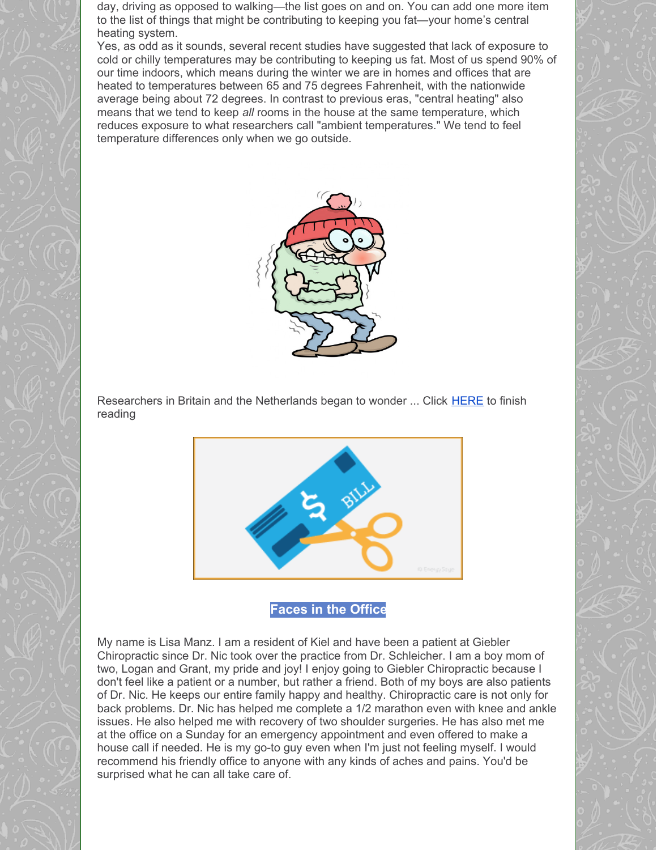day, driving as opposed to walking—the list goes on and on. You can add one more item to the list of things that might be contributing to keeping you fat—your home's central heating system.

Yes, as odd as it sounds, several recent studies have suggested that lack of exposure to cold or chilly temperatures may be contributing to keeping us fat. Most of us spend 90% of our time indoors, which means during the winter we are in homes and offices that are heated to temperatures between 65 and 75 degrees Fahrenheit, with the nationwide average being about 72 degrees. In contrast to previous eras, "central heating" also means that we tend to keep *all* rooms in the house at the same temperature, which reduces exposure to what researchers call "ambient temperatures." We tend to feel temperature differences only when we go outside.



Researchers in Britain and the Netherlands began to wonder ... Click [HERE](https://gieblerchiropractic.blogspot.com/2020/12/do-cooler-temperatures-really-help-with.html) to finish reading



**Faces in the Office**

My name is Lisa Manz. I am a resident of Kiel and have been a patient at Giebler Chiropractic since Dr. Nic took over the practice from Dr. Schleicher. I am a boy mom of two, Logan and Grant, my pride and joy! I enjoy going to Giebler Chiropractic because I don't feel like a patient or a number, but rather a friend. Both of my boys are also patients of Dr. Nic. He keeps our entire family happy and healthy. Chiropractic care is not only for back problems. Dr. Nic has helped me complete a 1/2 marathon even with knee and ankle issues. He also helped me with recovery of two shoulder surgeries. He has also met me at the office on a Sunday for an emergency appointment and even offered to make a house call if needed. He is my go-to guy even when I'm just not feeling myself. I would recommend his friendly office to anyone with any kinds of aches and pains. You'd be surprised what he can all take care of.